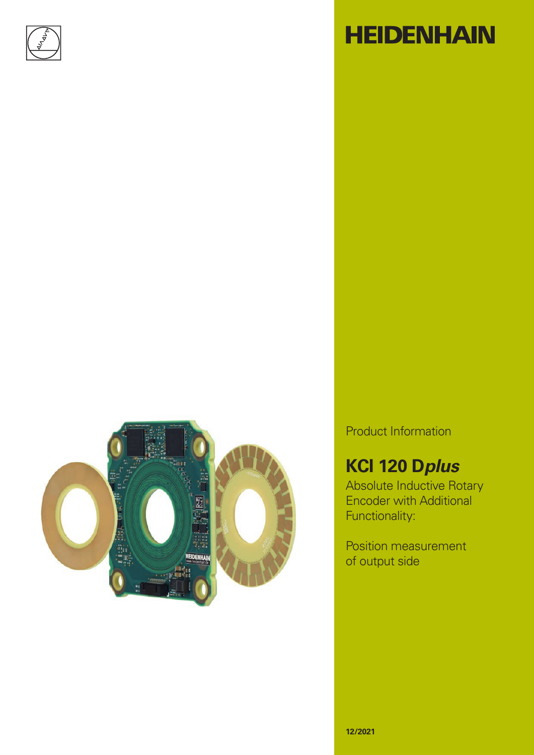



# **HEIDENHAIN**

Product Information

### **KCI 120 D***plus*

Absolute Inductive Rotary Encoder with Additional Functionality:

Position measurement of output side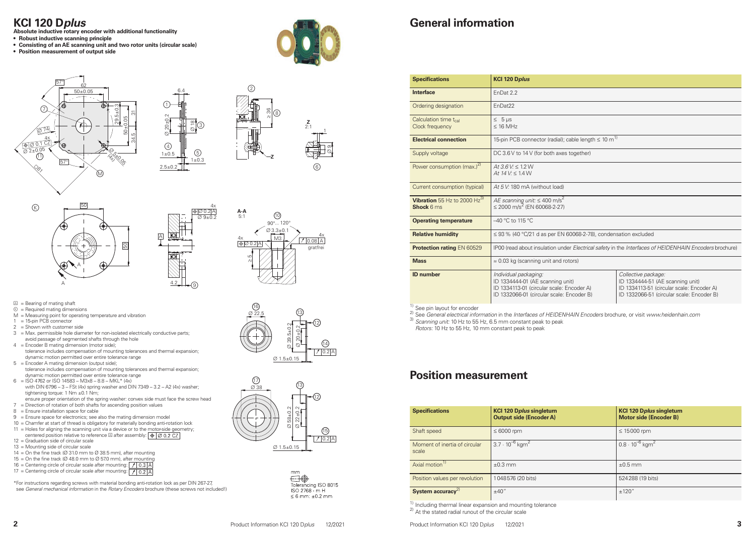4x





 $\mathbb{Q}$ 



 $(2)$ 



 $\circledcirc$ 





- $\boxed{\triangle}$  = Bearing of mating shaft
- $<sup>©</sup>$  = Required mating dimensions</sup>
- $M =$  Measuring point for operating temperature and vibration
- $1 = 15$ -pin PCB connector
- 2 = Shown with customer side
- $3 =$  Max. permissible hole diameter for non-isolated electrically conductive parts; avoid passage of segmented shafts through the hole
- 4 = Encoder B mating dimension (motor side); tolerance includes compensation of mounting tolerances and thermal expansion; dynamic motion permitted over entire tolerance range
- $5 =$  Encoder A mating dimension (output side); tolerance includes compensation of mounting tolerances and thermal expansion; dynamic motion permitted over entire tolerance range
- $6 =$  ISO 4762 or ISO 14583 M3x8 8.8 MKL\* (4x) with DIN 6796 – 3 – FSt (4x) spring washer and DIN 7349 – 3.2 – A2 (4x) washer; tightening torque: 1 Nm ±0.1 Nm;
- ensure proper orientation of the spring washer: convex side must face the screw head
- $7 =$  Direction of rotation of both shafts for ascending position values
- 8 = Ensure installation space for cable
- $9 =$  Ensure space for electronics; see also the mating dimension model
- 10 = Chamfer at start of thread is obligatory for materially bonding anti-rotation lock
- 11 = Holes for aligning the scanning unit via a device or to the motor-side geometry; centered position relative to reference  $\Box$  after assembly:  $\boxed{\bigoplus \Box$  0.2 CZ
- 12 = Graduation side of circular scale
- 13 = Mounting side of circular scale
- 14 = On the fine track ( $\varnothing$  31.0 mm to  $\varnothing$  38.5 mm), after mounting
- 15 = On the fine track ( $\varnothing$  48.0 mm to  $\varnothing$  57.0 mm), after mounting
- 16 = Centering circle of circular scale after mounting:  $\boxed{\big / \big | \, 0.3 \big | A}$ 17 = Centering circle of circular scale after mounting:  $\sqrt{10.27}$
- 







### **KCI 120 D***plus*

- **Absolute inductive rotary encoder with additional functionality**
- **• Robust inductive scanning principle**
- **• Consisting of an AE scanning unit and two rotor units (circular scale)**
- **• Position measurement of output side**



### **General information**

**Specifications KCI 120 D***plus*

<sup>1)</sup> See pin layout for encoder<br><sup>2)</sup> See *General electrical information* in the *Interfaces of HEIDENHAIN Encoders* brochure, or visit *www.heidenhain.com* 3) *Scanning unit:* 10 Hz to 55 Hz, 6.5 mm constant peak to peak *Rotors:* 10 Hz to 55 Hz, 10 mm constant peak to peak

| <b>Opechications</b>                                  | NUI IZU D <i>pius</i>                                                                                                                               |                                                                    |  |  |  |  |
|-------------------------------------------------------|-----------------------------------------------------------------------------------------------------------------------------------------------------|--------------------------------------------------------------------|--|--|--|--|
| <b>Interface</b>                                      | EnDat 2.2                                                                                                                                           |                                                                    |  |  |  |  |
| Ordering designation                                  | EnDat22                                                                                                                                             |                                                                    |  |  |  |  |
| Calculation time t <sub>cal</sub><br>Clock frequency  | $\leq$ 5 µs<br>$\leq$ 16 MHz<br>15-pin PCB connector (radial); cable length $\leq 10 \text{ m}^{1}$                                                 |                                                                    |  |  |  |  |
| <b>Electrical connection</b>                          |                                                                                                                                                     |                                                                    |  |  |  |  |
| Supply voltage                                        | DC 3.6 V to 14 V (for both axes together)                                                                                                           |                                                                    |  |  |  |  |
| Power consumption $(max.)2$                           | $At 3.6 V \le 1.2 W$<br>At $14V \le 1.4W$                                                                                                           |                                                                    |  |  |  |  |
| Current consumption (typical)                         | At 5 V: 180 mA (without load)                                                                                                                       |                                                                    |  |  |  |  |
| Vibration 55 Hz to 2000 $Hz^{3}$<br><b>Shock 6 ms</b> | AE scanning unit: $\leq 400$ m/s <sup>2</sup><br>≤ 2000 m/s <sup>2</sup> (EN 60068-2-27)                                                            |                                                                    |  |  |  |  |
| <b>Operating temperature</b>                          | $-40$ °C to 115 °C                                                                                                                                  |                                                                    |  |  |  |  |
| <b>Relative humidity</b>                              | $\leq$ 93 % (40 °C/21 d as per EN 60068-2-78), condensation excluded                                                                                |                                                                    |  |  |  |  |
| <b>Protection rating EN 60529</b>                     | IP00 (read about insulation under Electrical safety in the Interfaces of                                                                            |                                                                    |  |  |  |  |
| <b>Mass</b>                                           | $\approx$ 0.03 kg (scanning unit and rotors)                                                                                                        |                                                                    |  |  |  |  |
| <b>ID</b> number                                      | Individual packaging:<br>ID 1334444-01 (AE scanning unit)<br>ID 1334113-01 (circular scale: Encoder A)<br>ID 1332066-01 (circular scale: Encoder B) | Collective pack<br>ID 1334444-51<br>ID 1334113-51<br>ID 1332066-51 |  |  |  |  |

| <b>Interface</b>                                              | EnDat 2.2                                                                                                                                                                                                                                                                                                |  |  |  |  |  |  |
|---------------------------------------------------------------|----------------------------------------------------------------------------------------------------------------------------------------------------------------------------------------------------------------------------------------------------------------------------------------------------------|--|--|--|--|--|--|
| Ordering designation                                          | EnDat <sub>22</sub>                                                                                                                                                                                                                                                                                      |  |  |  |  |  |  |
| Calculation time t <sub>cal</sub><br>Clock frequency          | $\leq 5 \,\mu s$<br>$\leq$ 16 MHz                                                                                                                                                                                                                                                                        |  |  |  |  |  |  |
| <b>Electrical connection</b>                                  | 15-pin PCB connector (radial); cable length $\leq 10 \text{ m}^{11}$                                                                                                                                                                                                                                     |  |  |  |  |  |  |
| Supply voltage                                                | DC 3.6 V to 14 V (for both axes together)                                                                                                                                                                                                                                                                |  |  |  |  |  |  |
| Power consumption (max.) <sup>2)</sup>                        | $At 3.6 V \le 1.2 W$<br>At $14V \le 1.4W$                                                                                                                                                                                                                                                                |  |  |  |  |  |  |
| Current consumption (typical)                                 | At 5 V: 180 mA (without load)                                                                                                                                                                                                                                                                            |  |  |  |  |  |  |
| Vibration 55 Hz to 2000 Hz <sup>3)</sup><br><b>Shock 6 ms</b> | AE scanning unit: $\leq 400$ m/s <sup>2</sup><br>$\leq$ 2000 m/s <sup>2</sup> (EN 60068-2-27)                                                                                                                                                                                                            |  |  |  |  |  |  |
| -40 °C to 115 °C<br><b>Operating temperature</b>              |                                                                                                                                                                                                                                                                                                          |  |  |  |  |  |  |
| <b>Relative humidity</b>                                      | $\leq$ 93 % (40 °C/21 d as per EN 60068-2-78), condensation excluded                                                                                                                                                                                                                                     |  |  |  |  |  |  |
| Protection rating EN 60529                                    | IP00 (read about insulation under Electrical safety in the Interfaces of HEIDENHAIN Encoders brochure)                                                                                                                                                                                                   |  |  |  |  |  |  |
| <b>Mass</b>                                                   | $\approx$ 0.03 kg (scanning unit and rotors)                                                                                                                                                                                                                                                             |  |  |  |  |  |  |
| <b>ID</b> number                                              | Individual packaging:<br>Collective package:<br>ID 1334444-01 (AE scanning unit)<br>ID 1334444-51 (AE scanning unit)<br>ID 1334113-01 (circular scale: Encoder A)<br>ID 1334113-51 (circular scale: Encoder A)<br>ID 1332066-01 (circular scale: Encoder B)<br>ID 1332066-51 (circular scale: Encoder B) |  |  |  |  |  |  |

\*For instructions regarding screws with material bonding anti-rotation lock as per DIN 267-27, see *General mechanical information* in the *Rotary Encoders* brochure (these screws not included!)

| <b>Specifications</b>                  | <b>KCl 120 Dplus singleturn</b><br><b>Output side (Encoder A)</b> | <b>KCl 120 Dplus singleturn</b><br><b>Motor side (Encoder B)</b> |
|----------------------------------------|-------------------------------------------------------------------|------------------------------------------------------------------|
| Shaft speed                            | $\leq 6000$ rpm                                                   | $\leq$ 15000 rpm                                                 |
| Moment of inertia of circular<br>scale | 3.7 $\cdot$ 10 <sup>-6</sup> kgm <sup>2</sup>                     | $0.8 \cdot 10^{-6}$ kgm <sup>2</sup>                             |
| Axial motion <sup>1)</sup>             | $\pm 0.3$ mm                                                      | $\pm 0.5$ mm                                                     |
| Position values per revolution         | 1048576 (20 bits)                                                 | 524288 (19 bits)                                                 |
| System accuracy <sup>2)</sup>          | ±40''                                                             | ±120''                                                           |

<sup>1)</sup> Including thermal linear expansion and mounting tolerance  $^{2}$  At the stated radial runout of the circular scale

### **Position measurement**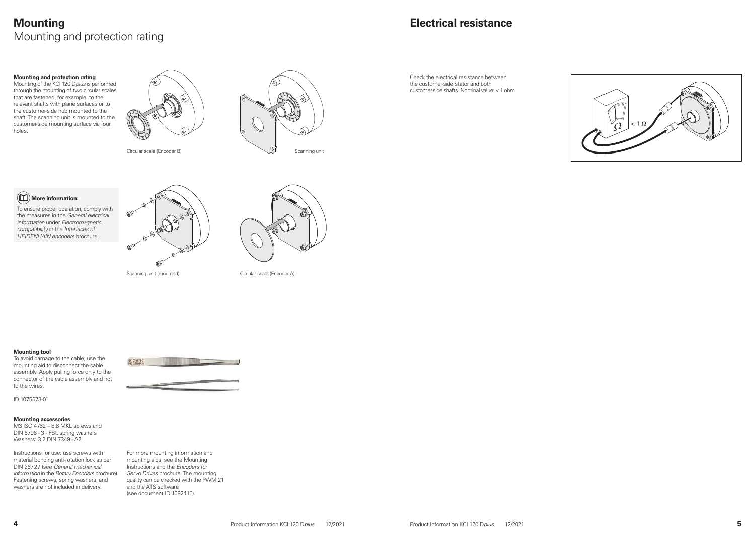

### **Mounting** Mounting and protection rating

#### **Mounting and protection rating**

Mounting of the KCI 120 D*plus* is performed through the mounting of two circular scales that are fastened, for example, to the relevant shafts with plane surfaces or to the customer-side hub mounted to the shaft. The scanning unit is mounted to the customer-side mounting surface via four holes.



![](_page_2_Picture_6.jpeg)

![](_page_2_Figure_8.jpeg)

To ensure proper operation, comply with the measures in the *General electrical information* under *Electromagnetic compatibility* in the *Interfaces of HEIDENHAIN encoders* brochure.

![](_page_2_Picture_10.jpeg)

![](_page_2_Picture_12.jpeg)

Scanning unit (mounted) Circular scale (Encoder A)

#### **Mounting tool**

To avoid damage to the cable, use the mounting aid to disconnect the cable assembly. Apply pulling force only to the connector of the cable assembly and not to the wires.

ID 1075573-01

#### **Mounting accessories**

M3 ISO 4762 – 8.8 MKL screws and DIN 6796 - 3 - FSt. spring washers Washers: 3.2 DIN 7349 - A2

Instructions for use: use screws with material bonding anti-rotation lock as per DIN 26727 (see *General mechanical information* in the *Rotary Encoders* brochure). Fastening screws, spring washers, and washers are not included in delivery.

![](_page_2_Picture_20.jpeg)

For more mounting information and mounting aids, see the Mounting Instructions and the *Encoders for Servo Drives* brochure. The mounting quality can be checked with the PWM 21 and the ATS software (see document ID 1082415).

### **Electrical resistance**

Check the electrical resistance between the customer-side stator and both customer-side shafts. Nominal value: <1ohm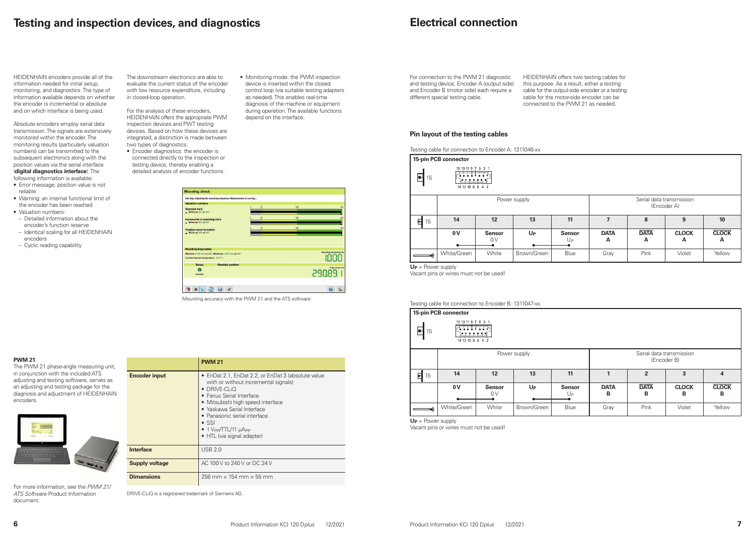#### **PWM 21**

The PWM 21 phase-angle measuring unit, in conjunction with the included ATS adjusting and testing software, serves as an adjusting and testing package for the diagnosis and adjustment of HEIDENHAIN encoders.

![](_page_3_Picture_18.jpeg)

|                       | <b>PWM 21</b>                                                                                                                                                                                                                                                                                                         |
|-----------------------|-----------------------------------------------------------------------------------------------------------------------------------------------------------------------------------------------------------------------------------------------------------------------------------------------------------------------|
| <b>Encoder input</b>  | • EnDat 2.1, EnDat 2.2, or EnDat 3 (absolute value<br>with or without incremental signals)<br>DRIVE-CLIO<br>• Fanuc Serial Interface<br>• Mitsubishi high speed interface<br>• Yaskawa Serial Interface<br>• Panasonic serial interface<br>$\bullet$ SSI<br>$\bullet$ 1 Vpp/TTL/11 µApp<br>• HTL (via signal adapter) |
| <b>Interface</b>      | <b>USB 2.0</b>                                                                                                                                                                                                                                                                                                        |
| <b>Supply voltage</b> | AC 100 V to 240 V or DC 24 V                                                                                                                                                                                                                                                                                          |
| <b>Dimensions</b>     | 258 mm $\times$ 154 mm $\times$ 55 mm                                                                                                                                                                                                                                                                                 |

DRIVE-CLiQ is a registered trademark of Siemens AG.

**Inter** 

For more information, see the *PWM 21/ ATS Software* Product Information document*.*

### **Testing and inspection devices, and diagnostics**

![](_page_3_Figure_15.jpeg)

HEIDENHAIN encoders provide all of the information needed for initial setup, monitoring, and diagnostics. The type of information available depends on whether the encoder is incremental or absolute and on which interface is being used.

Absolute encoders employ serial data transmission. The signals are extensively monitored within the encoder. The monitoring results (particularly valuation numbers) can be transmitted to the subsequent electronics along with the position values via the serial interface (**digital diagnostics interface**). The following information is available:

|                                                               | 15-pin PCB connector                                        |       |              |      |                                         |                  |                   |                   |  |  |  |
|---------------------------------------------------------------|-------------------------------------------------------------|-------|--------------|------|-----------------------------------------|------------------|-------------------|-------------------|--|--|--|
| 15 13 11 9 7 5 3 1<br>F<br>15<br>لتختتنها<br>14 12 10 8 6 4 2 |                                                             |       |              |      |                                         |                  |                   |                   |  |  |  |
|                                                               |                                                             |       | Power supply |      | Serial data transmission<br>(Encoder A) |                  |                   |                   |  |  |  |
| 티<br>15                                                       | 14                                                          | 12    | 13           | 11   |                                         | 8                | 9                 | 10                |  |  |  |
|                                                               | 0V<br>$U_{P}$<br><b>Sensor</b><br><b>Sensor</b><br>0V<br>Up |       |              |      | <b>DATA</b><br>А                        | <b>DATA</b><br>A | <b>CLOCK</b><br>A | <b>CLOCK</b><br>A |  |  |  |
|                                                               | White/Green                                                 | White | Brown/Green  | Blue | Gray                                    | Pink             | Violet            | Yellow            |  |  |  |

- Error message: position value is not reliable
- Warning: an internal functional limit of the encoder has been reached
- Valuation numbers:
- Detailed information about the encoder's function reserve
- Identical scaling for all HEIDENHAIN encoders
- Cyclic reading capability

The downstream electronics are able to evaluate the current status of the encoder with low resource expenditure, including in closed-loop operation.

For the analysis of these encoders, HEIDENHAIN offers the appropriate PWM inspection devices and PWT testing devices. Based on how these devices are integrated, a distinction is made between two types of diagnostics:

- Encoder diagnostics: the encoder is connected directly to the inspection or testing device, thereby enabling a detailed analysis of encoder functions.
- Monitoring mode: the PWM inspection device is inserted within the closed control loop (via suitable testing adapters as needed). This enables real-time diagnosis of the machine or equipment during operation. The available functions depend on the interface.

| Mounting clearance [mm] |
|-------------------------|
|                         |
|                         |
|                         |
| Angle [degrees]         |
|                         |

**Pin layout of the testing cables**

Testing cable for connection to Encoder A: 1311046-xx

**UP** = Power supply

Vacant pins or wires must not be used!

### **Electrical connection**

For connection to the PWM 21 diagnostic and testing device, Encoder A (output side) and Encoder B (motor side) each require a

different special testing cable.

HEIDENHAIN offers two testing cables for this purpose. As a result, either a testing cable for the output-side encoder or a testing cable for the motor-side encoder can be connected to the PWM 21 as needed.

Testing cable for connection to Encoder B: 1311047-xx

![](_page_3_Figure_29.jpeg)

| าector                                 |                     |              |                                   |                                         |                  |                   |                   |  |  |
|----------------------------------------|---------------------|--------------|-----------------------------------|-----------------------------------------|------------------|-------------------|-------------------|--|--|
| 15 13 11 9 7 5 3 1<br>14 12 10 8 6 4 2 |                     |              |                                   |                                         |                  |                   |                   |  |  |
|                                        |                     | Power supply |                                   | Serial data transmission<br>(Encoder B) |                  |                   |                   |  |  |
| 14                                     | 12                  | 13           | 11                                | $\overline{2}$<br>3<br>$\overline{4}$   |                  |                   |                   |  |  |
| 0 V                                    | <b>Sensor</b><br>0V | $U_{P}$      | <b>Sensor</b><br>$U_{\mathsf{P}}$ | <b>DATA</b><br>В                        | <b>DATA</b><br>B | <b>CLOCK</b><br>В | <b>CLOCK</b><br>В |  |  |
| e/Green                                | White               | Brown/Green  | Blue                              | Gray                                    | Pink             | Violet            | Yellow            |  |  |

**UP** = Power supply

Vacant pins or wires must not be used!